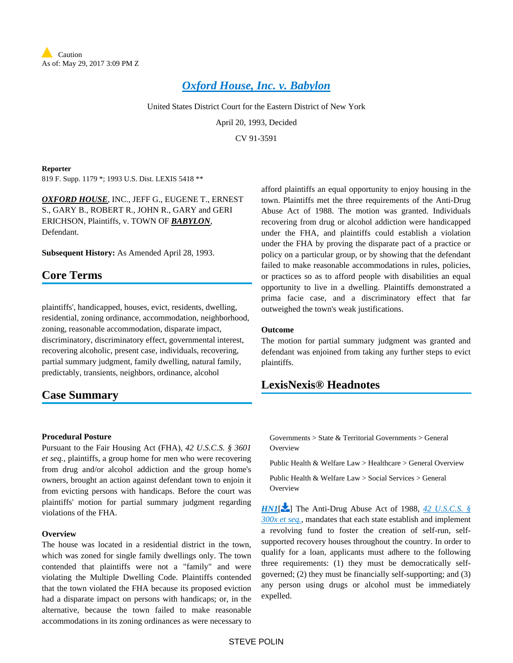

# *[Oxford House, Inc. v. Babylon](https://advance.lexis.com/api/document?collection=cases&id=urn:contentItem:3S4N-SJ40-001T-6260-00000-00&context=)*

United States District Court for the Eastern District of New York

April 20, 1993, Decided

CV 91-3591

#### **Reporter**

819 F. Supp. 1179 \*; 1993 U.S. Dist. LEXIS 5418 \*\*

*OXFORD HOUSE*, INC., JEFF G., EUGENE T., ERNEST S., GARY B., ROBERT R., JOHN R., GARY and GERI ERICHSON, Plaintiffs, v. TOWN OF *BABYLON*, Defendant.

**Subsequent History:** As Amended April 28, 1993.

# **Core Terms**

plaintiffs', handicapped, houses, evict, residents, dwelling, residential, zoning ordinance, accommodation, neighborhood, zoning, reasonable accommodation, disparate impact, discriminatory, discriminatory effect, governmental interest, recovering alcoholic, present case, individuals, recovering, partial summary judgment, family dwelling, natural family, predictably, transients, neighbors, ordinance, alcohol

# **Case Summary**

afford plaintiffs an equal opportunity to enjoy housing in the town. Plaintiffs met the three requirements of the Anti-Drug Abuse Act of 1988. The motion was granted. Individuals recovering from drug or alcohol addiction were handicapped under the FHA, and plaintiffs could establish a violation under the FHA by proving the disparate pact of a practice or policy on a particular group, or by showing that the defendant failed to make reasonable accommodations in rules, policies, or practices so as to afford people with disabilities an equal opportunity to live in a dwelling. Plaintiffs demonstrated a prima facie case, and a discriminatory effect that far outweighed the town's weak justifications.

## **Outcome**

The motion for partial summary judgment was granted and defendant was enjoined from taking any further steps to evict plaintiffs.

# **LexisNexis® Headnotes**

### **Procedural Posture**

Pursuant to the Fair Housing Act (FHA), *42 U.S.C.S. § 3601 et seq.*, plaintiffs, a group home for men who were recovering from drug and/or alcohol addiction and the group home's owners, brought an action against defendant town to enjoin it from evicting persons with handicaps. Before the court was plaintiffs' motion for partial summary judgment regarding violations of the FHA.

## **Overview**

The house was located in a residential district in the town, which was zoned for single family dwellings only. The town contended that plaintiffs were not a "family" and were violating the Multiple Dwelling Code. Plaintiffs contended that the town violated the FHA because its proposed eviction had a disparate impact on persons with handicaps; or, in the alternative, because the town failed to make reasonable accommodations in its zoning ordinances as were necessary to

 $Governments > State & Territorial Governments > General$ **Overview** 

Public Health & Welfare Law > Healthcare > General Overview

Public Health & Welfare Law > Social Services > General **Overview** 

<span id="page-0-0"></span>*[HN1](https://advance.lexis.com/api/document?collection=cases&id=urn:contentItem:3S4N-SJ40-001T-6260-00000-00&context=&link=LNHNREFclscc1)*[\[](#page-4-0) ] The Anti-Drug Abuse Act of 1988, *[42 U.S.C.S. §](https://advance.lexis.com/api/document?collection=statutes-legislation&id=urn:contentItem:4YF7-GRH1-NRF4-43VP-00000-00&context=)  [300x et seq.](https://advance.lexis.com/api/document?collection=statutes-legislation&id=urn:contentItem:4YF7-GRH1-NRF4-43VP-00000-00&context=)*, mandates that each state establish and implement a revolving fund to foster the creation of self-run, selfsupported recovery houses throughout the country. In order to qualify for a loan, applicants must adhere to the following three requirements: (1) they must be democratically selfgoverned; (2) they must be financially self-supporting; and (3) any person using drugs or alcohol must be immediately expelled.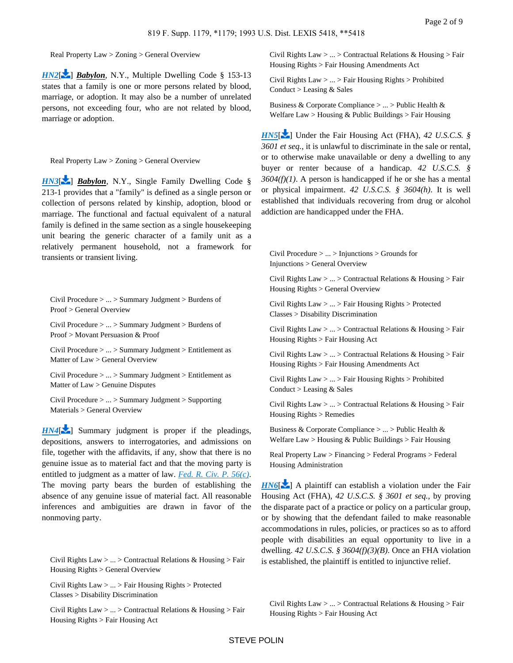Real Property Law > Zoning > General Overview

*[HN2](https://advance.lexis.com/api/document?collection=cases&id=urn:contentItem:3S4N-SJ40-001T-6260-00000-00&context=&link=LNHNREFclscc2)*[\[](#page-4-1) <sup>2</sup>] *Babylon*, N.Y., Multiple Dwelling Code § 153-13 states that a family is one or more persons related by blood, marriage, or adoption. It may also be a number of unrelated persons, not exceeding four, who are not related by blood, marriage or adoption.

Real Property Law > Zoning > General Overview

*[HN3](https://advance.lexis.com/api/document?collection=cases&id=urn:contentItem:3S4N-SJ40-001T-6260-00000-00&context=&link=LNHNREFclscc3)*[\[](#page-4-2) <sup>2</sup>] *Babylon*, N.Y., Single Family Dwelling Code § 213-1 provides that a "family" is defined as a single person or collection of persons related by kinship, adoption, blood or marriage. The functional and factual equivalent of a natural family is defined in the same section as a single housekeeping unit bearing the generic character of a family unit as a relatively permanent household, not a framework for transients or transient living.

<span id="page-1-0"></span>Civil Procedure > ... > Summary Judgment > Burdens of Proof > General Overview

Civil Procedure > ... > Summary Judgment > Burdens of Proof > Movant Persuasion & Proof

Civil Procedure > ... > Summary Judgment > Entitlement as Matter of Law > General Overview

Civil Procedure > ... > Summary Judgment > Entitlement as Matter of Law > Genuine Disputes

Civil Procedure > ... > Summary Judgment > Supporting Materials > General Overview

*[HN4](https://advance.lexis.com/api/document?collection=cases&id=urn:contentItem:3S4N-SJ40-001T-6260-00000-00&context=&link=LNHNREFclscc4)*<sup>[\[](#page-4-3)2]</sup> Summary judgment is proper if the pleadings, depositions, answers to interrogatories, and admissions on file, together with the affidavits, if any, show that there is no genuine issue as to material fact and that the moving party is entitled to judgment as a matter of law. *[Fed. R. Civ. P. 56\(c\)](https://advance.lexis.com/api/document?collection=statutes-legislation&id=urn:contentItem:5GYC-2421-6N19-F165-00000-00&context=)*. The moving party bears the burden of establishing the absence of any genuine issue of material fact. All reasonable inferences and ambiguities are drawn in favor of the nonmoving party.

<span id="page-1-1"></span>Civil Rights Law > ... > Contractual Relations & Housing > Fair Housing Rights > General Overview

Civil Rights Law > ... > Fair Housing Rights > Protected Classes > Disability Discrimination

Civil Rights Law > ... > Contractual Relations & Housing > Fair Housing Rights > Fair Housing Act

Civil Rights Law > ... > Contractual Relations & Housing > Fair Housing Rights > Fair Housing Amendments Act

Civil Rights Law > ... > Fair Housing Rights > Prohibited Conduct > Leasing & Sales

Business & Corporate Compliance > ... > Public Health & Welfare Law > Housing  $&$  Public Buildings > Fair Housing

*[HN5](https://advance.lexis.com/api/document?collection=cases&id=urn:contentItem:3S4N-SJ40-001T-6260-00000-00&context=&link=LNHNREFclscc5)*[\[](#page-4-4) $\bullet$ ] Under the Fair Housing Act (FHA), 42 U.S.C.S. § *3601 et seq.*, it is unlawful to discriminate in the sale or rental, or to otherwise make unavailable or deny a dwelling to any buyer or renter because of a handicap. *42 U.S.C.S. § 3604(f)(1)*. A person is handicapped if he or she has a mental or physical impairment. *42 U.S.C.S. § 3604(h)*. It is well established that individuals recovering from drug or alcohol addiction are handicapped under the FHA.

Civil Procedure > ... > Injunctions > Grounds for Injunctions > General Overview

Civil Rights Law  $> ... >$  Contractual Relations & Housing  $>$  Fair Housing Rights > General Overview

Civil Rights Law > ... > Fair Housing Rights > Protected Classes > Disability Discrimination

Civil Rights Law  $> ... >$  Contractual Relations & Housing  $>$  Fair Housing Rights > Fair Housing Act

Civil Rights Law > ... > Contractual Relations & Housing > Fair Housing Rights > Fair Housing Amendments Act

Civil Rights Law > ... > Fair Housing Rights > Prohibited Conduct > Leasing & Sales

Civil Rights Law  $> ... >$  Contractual Relations & Housing  $>$  Fair Housing Rights > Remedies

Business & Corporate Compliance > ... > Public Health & Welfare Law > Housing & Public Buildings > Fair Housing

Real Property Law > Financing > Federal Programs > Federal Housing Administration

 $H N6$ [\[](#page-5-0) $\geq$ ] A plaintiff can establish a violation under the Fair Housing Act (FHA), *42 U.S.C.S. § 3601 et seq.*, by proving the disparate pact of a practice or policy on a particular group, or by showing that the defendant failed to make reasonable accommodations in rules, policies, or practices so as to afford people with disabilities an equal opportunity to live in a dwelling. *42 U.S.C.S. § 3604(f)(3)(B)*. Once an FHA violation is established, the plaintiff is entitled to injunctive relief.

<span id="page-1-2"></span>Civil Rights Law  $> ... >$  Contractual Relations & Housing  $>$  Fair Housing Rights > Fair Housing Act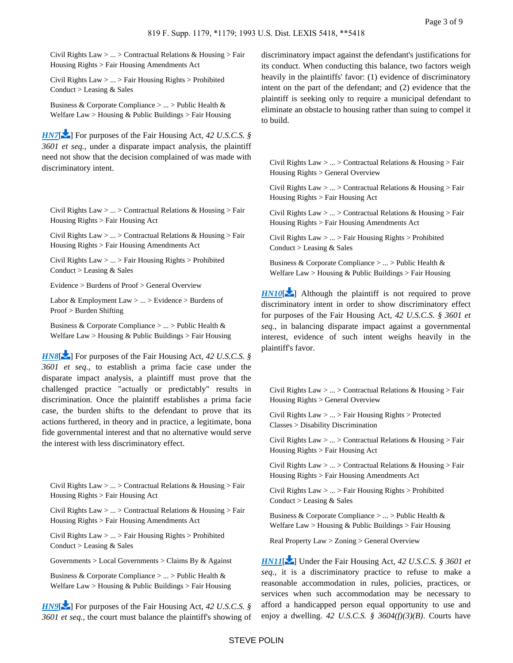Civil Rights Law > ... > Contractual Relations & Housing > Fair Housing Rights > Fair Housing Amendments Act

Civil Rights Law > ... > Fair Housing Rights > Prohibited Conduct > Leasing & Sales

Business & Corporate Compliance > ... > Public Health & Welfare Law > Housing & Public Buildings > Fair Housing

*[HN7](https://advance.lexis.com/api/document?collection=cases&id=urn:contentItem:3S4N-SJ40-001T-6260-00000-00&context=&link=LNHNREFclscc7)*[\[](#page-5-1) $\blacktriangleright$ ] For purposes of the Fair Housing Act, 42 U.S.C.S. § *3601 et seq.*, under a disparate impact analysis, the plaintiff need not show that the decision complained of was made with discriminatory intent.

<span id="page-2-0"></span>Civil Rights Law > ... > Contractual Relations & Housing > Fair Housing Rights > Fair Housing Act

Civil Rights Law > ... > Contractual Relations & Housing > Fair Housing Rights > Fair Housing Amendments Act

Civil Rights Law > ... > Fair Housing Rights > Prohibited Conduct > Leasing & Sales

Evidence > Burdens of Proof > General Overview

Labor & Employment Law  $> ... >$  Evidence  $>$  Burdens of Proof > Burden Shifting

Business & Corporate Compliance > ... > Public Health & Welfare Law > Housing & Public Buildings > Fair Housing

*[HN8](https://advance.lexis.com/api/document?collection=cases&id=urn:contentItem:3S4N-SJ40-001T-6260-00000-00&context=&link=LNHNREFclscc8)*[\[](#page-5-2)<sup>2</sup>] For purposes of the Fair Housing Act, 42 U.S.C.S. § *3601 et seq.*, to establish a prima facie case under the disparate impact analysis, a plaintiff must prove that the challenged practice "actually or predictably" results in discrimination. Once the plaintiff establishes a prima facie case, the burden shifts to the defendant to prove that its actions furthered, in theory and in practice, a legitimate, bona fide governmental interest and that no alternative would serve the interest with less discriminatory effect.

Civil Rights Law > ... > Contractual Relations & Housing > Fair Housing Rights > Fair Housing Act

Civil Rights Law > ... > Contractual Relations & Housing > Fair Housing Rights > Fair Housing Amendments Act

Civil Rights Law > ... > Fair Housing Rights > Prohibited Conduct > Leasing & Sales

Governments  $>$  Local Governments  $>$  Claims By & Against

Business & Corporate Compliance > ... > Public Health & Welfare Law > Housing & Public Buildings > Fair Housing

*[HN9](https://advance.lexis.com/api/document?collection=cases&id=urn:contentItem:3S4N-SJ40-001T-6260-00000-00&context=&link=LNHNREFclscc9)*<sup>[\[](#page-5-3)2]</sup> For purposes of the Fair Housing Act, 42 U.S.C.S. § *3601 et seq.*, the court must balance the plaintiff's showing of

discriminatory impact against the defendant's justifications for its conduct. When conducting this balance, two factors weigh heavily in the plaintiffs' favor: (1) evidence of discriminatory intent on the part of the defendant; and (2) evidence that the plaintiff is seeking only to require a municipal defendant to eliminate an obstacle to housing rather than suing to compel it to build.

<span id="page-2-1"></span>Civil Rights Law  $> ... >$  Contractual Relations & Housing  $>$  Fair Housing Rights > General Overview

Civil Rights Law  $> ... >$  Contractual Relations & Housing  $>$  Fair Housing Rights > Fair Housing Act

Civil Rights Law  $> ... >$  Contractual Relations & Housing  $>$  Fair Housing Rights > Fair Housing Amendments Act

Civil Rights Law > ... > Fair Housing Rights > Prohibited Conduct > Leasing & Sales

Business & Corporate Compliance  $> ... >$  Public Health & Welfare Law > Housing  $&$  Public Buildings > Fair Housing

 $HNI0$ [\[](#page-6-0) $\sim$ ] Although the plaintiff is not required to prove discriminatory intent in order to show discriminatory effect for purposes of the Fair Housing Act, *42 U.S.C.S. § 3601 et seq.*, in balancing disparate impact against a governmental interest, evidence of such intent weighs heavily in the plaintiff's favor.

<span id="page-2-2"></span>Civil Rights Law  $> ... >$  Contractual Relations & Housing  $>$  Fair Housing Rights > General Overview

Civil Rights Law > ... > Fair Housing Rights > Protected Classes > Disability Discrimination

Civil Rights Law  $> ... >$  Contractual Relations & Housing  $>$  Fair Housing Rights > Fair Housing Act

Civil Rights Law  $> ... >$  Contractual Relations & Housing  $>$  Fair Housing Rights > Fair Housing Amendments Act

Civil Rights Law > ... > Fair Housing Rights > Prohibited Conduct > Leasing & Sales

Business & Corporate Compliance  $> \dots$  > Public Health & Welfare  $Law > H$ ousing & Public Buildings  $>$  Fair Housing

Real Property Law > Zoning > General Overview

*[HN11](https://advance.lexis.com/api/document?collection=cases&id=urn:contentItem:3S4N-SJ40-001T-6260-00000-00&context=&link=LNHNREFclscc11)*[\[](#page-7-0) $\blacktriangleright$ ] Under the Fair Housing Act, 42 U.S.C.S. § 3601 et *seq.*, it is a discriminatory practice to refuse to make a reasonable accommodation in rules, policies, practices, or services when such accommodation may be necessary to afford a handicapped person equal opportunity to use and enjoy a dwelling. *42 U.S.C.S. § 3604(f)(3)(B)*. Courts have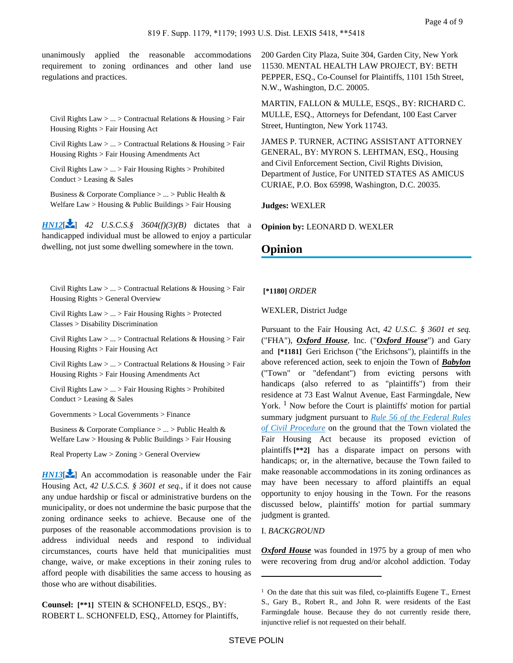<span id="page-3-1"></span>unanimously applied the reasonable accommodations requirement to zoning ordinances and other land use regulations and practices.

Civil Rights Law > ... > Contractual Relations & Housing > Fair Housing Rights > Fair Housing Act

Civil Rights Law > ... > Contractual Relations & Housing > Fair Housing Rights > Fair Housing Amendments Act

Civil Rights Law > ... > Fair Housing Rights > Prohibited Conduct > Leasing & Sales

Business & Corporate Compliance > ... > Public Health & Welfare Law > Housing & Public Buildings > Fair Housing

<span id="page-3-0"></span>*[HN12](https://advance.lexis.com/api/document?collection=cases&id=urn:contentItem:3S4N-SJ40-001T-6260-00000-00&context=&link=LNHNREFclscc12)*[\[](#page-7-1) $\bullet$ ] *42 U.S.C.S. § 3604(f)(3)(B)* dictates that a handicapped individual must be allowed to enjoy a particular dwelling, not just some dwelling somewhere in the town.

Civil Rights Law > ... > Contractual Relations & Housing > Fair Housing Rights > General Overview

Civil Rights Law > ... > Fair Housing Rights > Protected Classes > Disability Discrimination

Civil Rights Law > ... > Contractual Relations & Housing > Fair Housing Rights > Fair Housing Act

Civil Rights Law > ... > Contractual Relations & Housing > Fair Housing Rights > Fair Housing Amendments Act

Civil Rights Law > ... > Fair Housing Rights > Prohibited Conduct > Leasing & Sales

Governments > Local Governments > Finance

Business & Corporate Compliance > ... > Public Health & Welfare Law > Housing & Public Buildings > Fair Housing

Real Property Law > Zoning > General Overview

*[HN13](https://advance.lexis.com/api/document?collection=cases&id=urn:contentItem:3S4N-SJ40-001T-6260-00000-00&context=&link=LNHNREFclscc13)*<sup>[\[](#page-7-2)2]</sup> An accommodation is reasonable under the Fair Housing Act, *42 U.S.C.S. § 3601 et seq.*, if it does not cause any undue hardship or fiscal or administrative burdens on the municipality, or does not undermine the basic purpose that the zoning ordinance seeks to achieve. Because one of the purposes of the reasonable accommodations provision is to address individual needs and respond to individual circumstances, courts have held that municipalities must change, waive, or make exceptions in their zoning rules to afford people with disabilities the same access to housing as those who are without disabilities.

**Counsel: [\*\*1]** STEIN & SCHONFELD, ESQS., BY: ROBERT L. SCHONFELD, ESQ., Attorney for Plaintiffs, 200 Garden City Plaza, Suite 304, Garden City, New York 11530. MENTAL HEALTH LAW PROJECT, BY: BETH PEPPER, ESQ., Co-Counsel for Plaintiffs, 1101 15th Street, N.W., Washington, D.C. 20005.

MARTIN, FALLON & MULLE, ESQS., BY: RICHARD C. MULLE, ESQ., Attorneys for Defendant, 100 East Carver Street, Huntington, New York 11743.

JAMES P. TURNER, ACTING ASSISTANT ATTORNEY GENERAL, BY: MYRON S. LEHTMAN, ESQ., Housing and Civil Enforcement Section, Civil Rights Division, Department of Justice, For UNITED STATES AS AMICUS CURIAE, P.O. Box 65998, Washington, D.C. 20035.

**Judges:** WEXLER

**Opinion by:** LEONARD D. WEXLER

# **Opinion**

 **[\*1180]** *ORDER*

WEXLER, District Judge

Pursuant to the Fair Housing Act, *42 U.S.C. § 3601 et seq.* ("FHA"), *Oxford House*, Inc. ("*Oxford House*") and Gary and **[\*1181]** Geri Erichson ("the Erichsons"), plaintiffs in the above referenced action, seek to enjoin the Town of *Babylon* ("Town" or "defendant") from evicting persons with handicaps (also referred to as "plaintiffs") from their residence at 73 East Walnut Avenue, East Farmingdale, New York.<sup>1</sup> Now before the Court is plaintiffs' motion for partial summary judgment pursuant to *[Rule 56 of the Federal Rules](https://advance.lexis.com/api/document?collection=statutes-legislation&id=urn:contentItem:5GYC-2421-6N19-F165-00000-00&context=)  [of Civil Procedure](https://advance.lexis.com/api/document?collection=statutes-legislation&id=urn:contentItem:5GYC-2421-6N19-F165-00000-00&context=)* on the ground that the Town violated the Fair Housing Act because its proposed eviction of plaintiffs **[\*\*2]** has a disparate impact on persons with handicaps; or, in the alternative, because the Town failed to make reasonable accommodations in its zoning ordinances as may have been necessary to afford plaintiffs an equal opportunity to enjoy housing in the Town. For the reasons discussed below, plaintiffs' motion for partial summary judgment is granted.

## I. *BACKGROUND*

*Oxford House* was founded in 1975 by a group of men who were recovering from drug and/or alcohol addiction. Today

 $1$  On the date that this suit was filed, co-plaintiffs Eugene T., Ernest S., Gary B., Robert R., and John R. were residents of the East Farmingdale house. Because they do not currently reside there, injunctive relief is not requested on their behalf.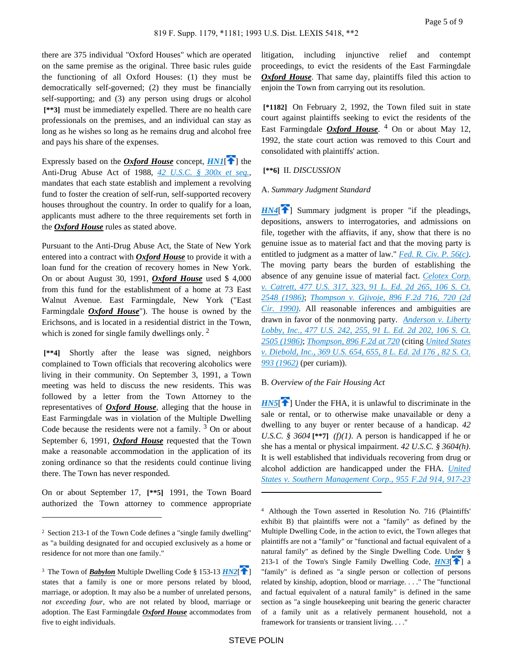there are 375 individual "Oxford Houses" which are operated on the same premise as the original. Three basic rules guide the functioning of all Oxford Houses: (1) they must be democratically self-governed; (2) they must be financially self-supporting; and (3) any person using drugs or alcohol  **[\*\*3]** must be immediately expelled. There are no health care professionals on the premises, and an individual can stay as long as he wishes so long as he remains drug and alcohol free and pays his share of the expenses.

Expressly based on the *Oxford House* concept,  $HNI[\hat{\mathbf{T}}]$  the Anti-Drug Abuse Act of 1988, *[42 U.S.C. § 300x et seq.](https://advance.lexis.com/api/document?collection=statutes-legislation&id=urn:contentItem:4YF7-GRH1-NRF4-43VP-00000-00&context=),* mandates that each state establish and implement a revolving fund to foster the creation of self-run, self-supported recovery houses throughout the country. In order to qualify for a loan, applicants must adhere to the three requirements set forth in the *Oxford House* rules as stated above.

Pursuant to the Anti-Drug Abuse Act, the State of New York entered into a contract with *Oxford House* to provide it with a loan fund for the creation of recovery homes in New York. On or about August 30, 1991, *Oxford House* used \$ 4,000 from this fund for the establishment of a home at 73 East Walnut Avenue. East Farmingdale, New York ("East Farmingdale *Oxford House*"). The house is owned by the Erichsons, and is located in a residential district in the Town, which is zoned for single family dwellings only.  $2^{\circ}$ 

 **[\*\*4]** Shortly after the lease was signed, neighbors complained to Town officials that recovering alcoholics were living in their community. On September 3, 1991, a Town meeting was held to discuss the new residents. This was followed by a letter from the Town Attorney to the representatives of *Oxford House*, alleging that the house in East Farmingdale was in violation of the Multiple Dwelling Code because the residents were not a family.  $3$  On or about September 6, 1991, *Oxford House* requested that the Town make a reasonable accommodation in the application of its zoning ordinance so that the residents could continue living there. The Town has never responded.

On or about September 17, **[\*\*5]** 1991, the Town Board authorized the Town attorney to commence appropriate litigation, including injunctive relief and contempt proceedings, to evict the residents of the East Farmingdale *Oxford House*. That same day, plaintiffs filed this action to enjoin the Town from carrying out its resolution.

 **[\*1182]** On February 2, 1992, the Town filed suit in state court against plaintiffs seeking to evict the residents of the East Farmingdale *Oxford House*. 4 On or about May 12, 1992, the state court action was removed to this Court and consolidated with plaintiffs' action.

### <span id="page-4-0"></span> **[\*\*6]** II. *DISCUSSION*

#### <span id="page-4-3"></span>A. *Summary Judgment Standard*

 $HN4$ <sup>[\[](#page-1-0) $\uparrow$ </sup>] Summary judgment is proper "if the pleadings, depositions, answers to interrogatories, and admissions on file, together with the affiavits, if any, show that there is no genuine issue as to material fact and that the moving party is entitled to judgment as a matter of law." *[Fed. R. Civ. P. 56\(c\)](https://advance.lexis.com/api/document?collection=statutes-legislation&id=urn:contentItem:5GYC-2421-6N19-F165-00000-00&context=)*. The moving party bears the burden of establishing the absence of any genuine issue of material fact. *[Celotex Corp.](https://advance.lexis.com/api/document?collection=cases&id=urn:contentItem:3S4X-6HC0-0039-N37R-00000-00&context=)  [v. Catrett, 477 U.S. 317, 323, 91 L. Ed. 2d 265, 106 S. Ct.](https://advance.lexis.com/api/document?collection=cases&id=urn:contentItem:3S4X-6HC0-0039-N37R-00000-00&context=)  [2548 \(1986\)](https://advance.lexis.com/api/document?collection=cases&id=urn:contentItem:3S4X-6HC0-0039-N37R-00000-00&context=)*; *[Thompson v. Gjivoje, 896 F.2d 716, 720 \(2d](https://advance.lexis.com/api/document?collection=cases&id=urn:contentItem:3S4X-6SH0-003B-516B-00000-00&context=)  [Cir. 1990\)](https://advance.lexis.com/api/document?collection=cases&id=urn:contentItem:3S4X-6SH0-003B-516B-00000-00&context=)*. All reasonable inferences and ambiguities are drawn in favor of the nonmoving party. *[Anderson v. Liberty](https://advance.lexis.com/api/document?collection=cases&id=urn:contentItem:3S4X-6H80-0039-N37M-00000-00&context=)  [Lobby, Inc., 477 U.S. 242, 255, 91 L. Ed. 2d 202, 106 S. Ct.](https://advance.lexis.com/api/document?collection=cases&id=urn:contentItem:3S4X-6H80-0039-N37M-00000-00&context=)  [2505 \(1986\)](https://advance.lexis.com/api/document?collection=cases&id=urn:contentItem:3S4X-6H80-0039-N37M-00000-00&context=)*; *[Thompson, 896 F.2d at 720](https://advance.lexis.com/api/document?collection=cases&id=urn:contentItem:3S4X-6SH0-003B-516B-00000-00&context=)* (citing *[United States](https://advance.lexis.com/api/document?collection=cases&id=urn:contentItem:3S4X-H990-003B-S0FX-00000-00&context=)  [v. Diebold, Inc., 369 U.S. 654, 655, 8 L. Ed. 2d 176 , 82 S. Ct.](https://advance.lexis.com/api/document?collection=cases&id=urn:contentItem:3S4X-H990-003B-S0FX-00000-00&context=)  [993 \(1962\)](https://advance.lexis.com/api/document?collection=cases&id=urn:contentItem:3S4X-H990-003B-S0FX-00000-00&context=)* (per curiam)).

### <span id="page-4-4"></span>B. *Overview of the Fair Housing Act*

 $H N 5$ [\[](#page-1-1) $\uparrow$ ] Under the FHA, it is unlawful to discriminate in the sale or rental, or to otherwise make unavailable or deny a dwelling to any buyer or renter because of a handicap. *42 U.S.C.* § 3604 $[**7]$  *(f)(1)*. A person is handicapped if he or she has a mental or physical impairment. *42 U.S.C. § 3604(h)*. It is well established that individuals recovering from drug or alcohol addiction are handicapped under the FHA. *[United](https://advance.lexis.com/api/document?collection=cases&id=urn:contentItem:3S4X-5XJ0-008H-V326-00000-00&context=)  [States v. Southern Management Corp., 955 F.2d 914, 917-23](https://advance.lexis.com/api/document?collection=cases&id=urn:contentItem:3S4X-5XJ0-008H-V326-00000-00&context=)* 

<sup>&</sup>lt;sup>2</sup> Section 213-1 of the Town Code defines a "single family dwelling" as "a building designated for and occupied exclusively as a home or residence for not more than one family."

<sup>&</sup>lt;sup>3</sup> The Town of *Babylon* Multiple Dwelling Code § 153-13  $H N2$ [\[](#page-0-0) $\uparrow$ ] states that a family is one or more persons related by blood, marriage, or adoption. It may also be a number of unrelated persons, *not exceeding four,* who are not related by blood, marriage or adoption. The East Farmingdale *Oxford House* accommodates from five to eight individuals.

<span id="page-4-2"></span><span id="page-4-1"></span><sup>4</sup>Although the Town asserted in Resolution No. 716 (Plaintiffs' exhibit B) that plaintiffs were not a "family" as defined by the Multiple Dwelling Code, in the action to evict, the Town alleges that plaintiffs are not a "family" or "functional and factual equivalent of a natural family" as defined by the Single Dwelling Code. Under § 213-1 of the Town's Single Family Dwelling Code,  $H N3$ [ $\uparrow$ ] a "family" is defined as "a single person or collection of persons related by kinship, adoption, blood or marriage. . . ." The "functional and factual equivalent of a natural family" is defined in the same section as "a single housekeeping unit bearing the generic character of a family unit as a relatively permanent household, not a framework for transients or transient living. . . ."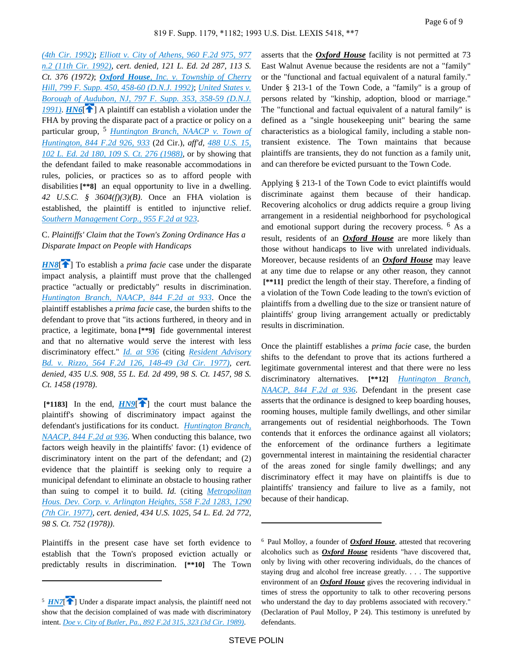<span id="page-5-0"></span>*[\(4th Cir. 1992\)](https://advance.lexis.com/api/document?collection=cases&id=urn:contentItem:3S4X-5XJ0-008H-V326-00000-00&context=)*; *[Elliott v. City of Athens, 960 F.2d 975, 977](https://advance.lexis.com/api/document?collection=cases&id=urn:contentItem:3S4X-3PR0-008H-V11T-00000-00&context=)  [n.2 \(11th Cir. 1992\)](https://advance.lexis.com/api/document?collection=cases&id=urn:contentItem:3S4X-3PR0-008H-V11T-00000-00&context=)*, *cert. denied, 121 L. Ed. 2d 287, 113 S. Ct. 376 (1972)*; *Oxford House[, Inc. v. Township of Cherry](https://advance.lexis.com/api/document?collection=cases&id=urn:contentItem:3S4N-GPD0-008H-F367-00000-00&context=)  [Hill, 799 F. Supp. 450, 458-60 \(D.N.J. 1992\)](https://advance.lexis.com/api/document?collection=cases&id=urn:contentItem:3S4N-GPD0-008H-F367-00000-00&context=)*; *[United States v.](https://advance.lexis.com/api/document?collection=cases&id=urn:contentItem:3S4N-B8H0-001T-7304-00000-00&context=)  [Borough of Audubon, NJ, 797 F. Supp. 353, 358-59 \(D.N.J.](https://advance.lexis.com/api/document?collection=cases&id=urn:contentItem:3S4N-B8H0-001T-7304-00000-00&context=)  [1991\)](https://advance.lexis.com/api/document?collection=cases&id=urn:contentItem:3S4N-B8H0-001T-7304-00000-00&context=)*. *[HN6](https://advance.lexis.com/api/document?collection=cases&id=urn:contentItem:3S4N-SJ40-001T-6260-00000-00&context=&link=clscc6)*[ ] A plaintiff can establish a violation under the FHA by proving the disparate pact of a practice or policy on a particular group, <sup>5</sup> *[Huntington Branch, NAACP v. Town of](https://advance.lexis.com/api/document?collection=cases&id=urn:contentItem:3S4X-1KC0-001B-K1HF-00000-00&context=)  [Huntington, 844 F.2d 926, 933](https://advance.lexis.com/api/document?collection=cases&id=urn:contentItem:3S4X-1KC0-001B-K1HF-00000-00&context=)* (2d Cir.), *aff'd, [488 U.S. 15,](https://advance.lexis.com/api/document?collection=cases&id=urn:contentItem:3S4X-CWK0-003B-40M9-00000-00&context=)  [102 L. Ed. 2d 180, 109 S. Ct. 276 \(1988\)](https://advance.lexis.com/api/document?collection=cases&id=urn:contentItem:3S4X-CWK0-003B-40M9-00000-00&context=)*, or by showing that the defendant failed to make reasonable accommodations in rules, policies, or practices so as to afford people with disabilities **[\*\*8]** an equal opportunity to live in a dwelling. *42 U.S.C. § 3604(f)(3)(B)*. Once an FHA violation is established, the plaintiff is entitled to injunctive relief. *[Southern Management Corp., 955 F.2d at 923](https://advance.lexis.com/api/document?collection=cases&id=urn:contentItem:3S4X-5XJ0-008H-V326-00000-00&context=)*.

## C. *Plaintiffs' Claim that the Town's Zoning Ordinance Has a Disparate Impact on People with Handicaps*

<span id="page-5-2"></span>*[HN8](https://advance.lexis.com/api/document?collection=cases&id=urn:contentItem:3S4N-SJ40-001T-6260-00000-00&context=&link=clscc8)*<sup>[\[](#page-2-0) $\uparrow$ </sup>] To establish a *prima facie* case under the disparate impact analysis, a plaintiff must prove that the challenged practice "actually or predictably" results in discrimination. *[Huntington Branch, NAACP, 844 F.2d at 933](https://advance.lexis.com/api/document?collection=cases&id=urn:contentItem:3S4X-1KC0-001B-K1HF-00000-00&context=)*. Once the plaintiff establishes a *prima facie* case, the burden shifts to the defendant to prove that "its actions furthered, in theory and in practice, a legitimate, bona **[\*\*9]** fide governmental interest and that no alternative would serve the interest with less discriminatory effect." *[Id. at 936](https://advance.lexis.com/api/document?collection=cases&id=urn:contentItem:3S4X-1KC0-001B-K1HF-00000-00&context=)* (citing *[Resident Advisory](https://advance.lexis.com/api/document?collection=cases&id=urn:contentItem:3S4X-0BN0-0039-M0XK-00000-00&context=)  [Bd. v. Rizzo, 564 F.2d 126, 148-49 \(3d Cir. 1977\)](https://advance.lexis.com/api/document?collection=cases&id=urn:contentItem:3S4X-0BN0-0039-M0XK-00000-00&context=)*, *cert. denied, 435 U.S. 908, 55 L. Ed. 2d 499, 98 S. Ct. 1457, 98 S. Ct. 1458 (1978)*.

<span id="page-5-3"></span>[\*1183] In the end,  $H N9$ [ $\uparrow$ ] the court must balance the plaintiff's showing of discriminatory impact against the defendant's justifications for its conduct. *[Huntington Branch,](https://advance.lexis.com/api/document?collection=cases&id=urn:contentItem:3S4X-1KC0-001B-K1HF-00000-00&context=)  [NAACP, 844 F.2d at 936](https://advance.lexis.com/api/document?collection=cases&id=urn:contentItem:3S4X-1KC0-001B-K1HF-00000-00&context=)*. When conducting this balance, two factors weigh heavily in the plaintiffs' favor: (1) evidence of discriminatory intent on the part of the defendant; and (2) evidence that the plaintiff is seeking only to require a municipal defendant to eliminate an obstacle to housing rather than suing to compel it to build. *Id.* (citing *[Metropolitan](https://advance.lexis.com/api/document?collection=cases&id=urn:contentItem:3S4X-0J00-0039-M1XV-00000-00&context=)  [Hous. Dev. Corp. v. Arlington Heights, 558 F.2d 1283, 1290](https://advance.lexis.com/api/document?collection=cases&id=urn:contentItem:3S4X-0J00-0039-M1XV-00000-00&context=)  [\(7th Cir. 1977\)](https://advance.lexis.com/api/document?collection=cases&id=urn:contentItem:3S4X-0J00-0039-M1XV-00000-00&context=)*, *cert. denied, 434 U.S. 1025, 54 L. Ed. 2d 772, 98 S. Ct. 752 (1978))*.

Plaintiffs in the present case have set forth evidence to establish that the Town's proposed eviction actually or predictably results in discrimination. **[\*\*10]** The Town

asserts that the *Oxford House* facility is not permitted at 73 East Walnut Avenue because the residents are not a "family" or the "functional and factual equivalent of a natural family." Under § 213-1 of the Town Code, a "family" is a group of persons related by "kinship, adoption, blood or marriage." The "functional and factual equivalent of a natural family" is defined as a "single housekeeping unit" bearing the same characteristics as a biological family, including a stable nontransient existence. The Town maintains that because plaintiffs are transients, they do not function as a family unit, and can therefore be evicted pursuant to the Town Code.

Applying § 213-1 of the Town Code to evict plaintiffs would discriminate against them because of their handicap. Recovering alcoholics or drug addicts require a group living arrangement in a residential neighborhood for psychological and emotional support during the recovery process. <sup>6</sup> As a result, residents of an *Oxford House* are more likely than those without handicaps to live with unrelated individuals. Moreover, because residents of an *Oxford House* may leave at any time due to relapse or any other reason, they cannot  **[\*\*11]** predict the length of their stay. Therefore, a finding of a violation of the Town Code leading to the town's eviction of plaintiffs from a dwelling due to the size or transient nature of plaintiffs' group living arrangement actually or predictably results in discrimination.

Once the plaintiff establishes a *prima facie* case, the burden shifts to the defendant to prove that its actions furthered a legitimate governmental interest and that there were no less discriminatory alternatives. **[\*\*12]** *[Huntington Branch,](https://advance.lexis.com/api/document?collection=cases&id=urn:contentItem:3S4X-1KC0-001B-K1HF-00000-00&context=)  [NAACP, 844 F.2d at 936](https://advance.lexis.com/api/document?collection=cases&id=urn:contentItem:3S4X-1KC0-001B-K1HF-00000-00&context=)*. Defendant in the present case asserts that the ordinance is designed to keep boarding houses, rooming houses, multiple family dwellings, and other similar arrangements out of residential neighborhoods. The Town contends that it enforces the ordinance against all violators; the enforcement of the ordinance furthers a legitimate governmental interest in maintaining the residential character of the areas zoned for single family dwellings; and any discriminatory effect it may have on plaintiffs is due to plaintiffs' transiency and failure to live as a family, not because of their handicap.

<span id="page-5-1"></span> $\sim$   $\frac{5 \text{ HN7}}{2}$  $\frac{5 \text{ HN7}}{2}$  $\frac{5 \text{ HN7}}{2}$  Under a disparate impact analysis, the plaintiff need not show that the decision complained of was made with discriminatory intent. *[Doe v. City of Butler, Pa., 892 F.2d 315, 323 \(3d Cir. 1989\)](https://advance.lexis.com/api/document?collection=cases&id=urn:contentItem:3S4X-7MD0-003B-54JG-00000-00&context=)*.

 $6$  Paul Molloy, a founder of *Oxford House*, attested that recovering alcoholics such as *Oxford House* residents "have discovered that, only by living with other recovering individuals, do the chances of staying drug and alcohol free increase greatly. . . . The supportive environment of an *Oxford House* gives the recovering individual in times of stress the opportunity to talk to other recovering persons who understand the day to day problems associated with recovery." (Declaration of Paul Molloy, P 24). This testimony is unrefuted by defendants.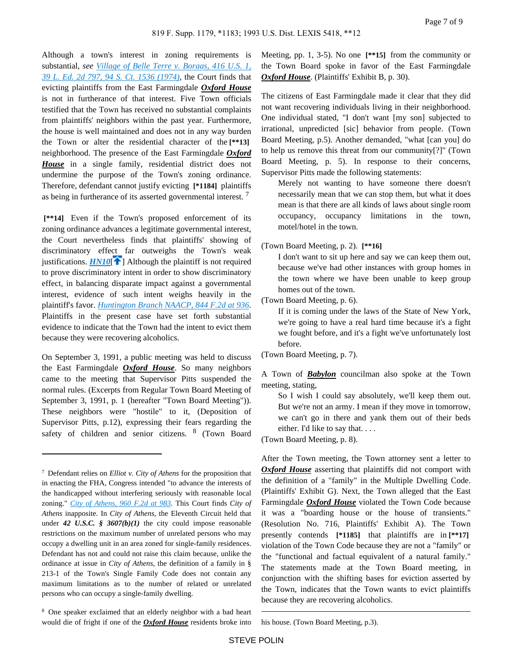Although a town's interest in zoning requirements is substantial, *see [Village of Belle Terre v. Boraas, 416 U.S. 1,](https://advance.lexis.com/api/document?collection=cases&id=urn:contentItem:3S4X-CDG0-003B-S3GN-00000-00&context=)  [39 L. Ed. 2d 797, 94 S. Ct. 1536 \(1974\)](https://advance.lexis.com/api/document?collection=cases&id=urn:contentItem:3S4X-CDG0-003B-S3GN-00000-00&context=)*, the Court finds that evicting plaintiffs from the East Farmingdale *Oxford House* is not in furtherance of that interest. Five Town officials testified that the Town has received no substantial complaints from plaintiffs' neighbors within the past year. Furthermore, the house is well maintained and does not in any way burden the Town or alter the residential character of the **[\*\*13]**  neighborhood. The presence of the East Farmingdale *Oxford House* in a single family, residential district does not undermine the purpose of the Town's zoning ordinance. Therefore, defendant cannot justify evicting **[\*1184]** plaintiffs as being in furtherance of its asserted governmental interest. <sup>7</sup>

<span id="page-6-0"></span> **[\*\*14]** Even if the Town's proposed enforcement of its zoning ordinance advances a legitimate governmental interest, the Court nevertheless finds that plaintiffs' showing of discriminatory effect far outweighs the Town's weak justifications.  $HM10$ <sup>[ $\uparrow$ </sup>[\]](#page-2-1) Although the plaintiff is not required to prove discriminatory intent in order to show discriminatory effect, in balancing disparate impact against a governmental interest, evidence of such intent weighs heavily in the plaintiff's favor. *[Huntington Branch NAACP, 844 F.2d at 936](https://advance.lexis.com/api/document?collection=cases&id=urn:contentItem:3S4X-1KC0-001B-K1HF-00000-00&context=)*. Plaintiffs in the present case have set forth substantial evidence to indicate that the Town had the intent to evict them because they were recovering alcoholics.

On September 3, 1991, a public meeting was held to discuss the East Farmingdale *Oxford House*. So many neighbors came to the meeting that Supervisor Pitts suspended the normal rules. (Excerpts from Regular Town Board Meeting of September 3, 1991, p. 1 (hereafter "Town Board Meeting")). These neighbors were "hostile" to it, (Deposition of Supervisor Pitts, p.12), expressing their fears regarding the safety of children and senior citizens. <sup>8</sup> (Town Board Meeting, pp. 1, 3-5). No one **[\*\*15]** from the community or the Town Board spoke in favor of the East Farmingdale *Oxford House*. (Plaintiffs' Exhibit B, p. 30).

The citizens of East Farmingdale made it clear that they did not want recovering individuals living in their neighborhood. One individual stated, "I don't want [my son] subjected to irrational, unpredicted [sic] behavior from people. (Town Board Meeting, p.5). Another demanded, "what [can you] do to help us remove this threat from our community[?]" (Town Board Meeting, p. 5). In response to their concerns, Supervisor Pitts made the following statements:

Merely not wanting to have someone there doesn't necessarily mean that we can stop them, but what it does mean is that there are all kinds of laws about single room occupancy, occupancy limitations in the town, motel/hotel in the town.

#### (Town Board Meeting, p. 2). **[\*\*16]**

I don't want to sit up here and say we can keep them out, because we've had other instances with group homes in the town where we have been unable to keep group homes out of the town.

(Town Board Meeting, p. 6).

If it is coming under the laws of the State of New York, we're going to have a real hard time because it's a fight we fought before, and it's a fight we've unfortunately lost before.

(Town Board Meeting, p. 7).

A Town of *Babylon* councilman also spoke at the Town meeting, stating,

So I wish I could say absolutely, we'll keep them out. But we're not an army. I mean if they move in tomorrow, we can't go in there and yank them out of their beds either. I'd like to say that. . . .

(Town Board Meeting, p. 8).

After the Town meeting, the Town attorney sent a letter to *Oxford House* asserting that plaintiffs did not comport with the definition of a "family" in the Multiple Dwelling Code. (Plaintiffs' Exhibit G). Next, the Town alleged that the East Farmingdale *Oxford House* violated the Town Code because it was a "boarding house or the house of transients." (Resolution No. 716, Plaintiffs' Exhibit A). The Town presently contends **[\*1185]** that plaintiffs are in **[\*\*17]**  violation of the Town Code because they are not a "family" or the "functional and factual equivalent of a natural family." The statements made at the Town Board meeting, in conjunction with the shifting bases for eviction asserted by the Town, indicates that the Town wants to evict plaintiffs because they are recovering alcoholics.

his house. (Town Board Meeting, p.3).

<sup>7</sup>Defendant relies on *Elliot v. City of Athens* for the proposition that in enacting the FHA, Congress intended "to advance the interests of the handicapped without interfering seriously with reasonable local zoning." *[City of Athens, 960 F.2d at 983](https://advance.lexis.com/api/document?collection=cases&id=urn:contentItem:3S4X-3PR0-008H-V11T-00000-00&context=)*. This Court finds *City of Athens* inapposite. In *City of Athens,* the Eleventh Circuit held that under 42 U.S.C. § 3607(b)(1) the city could impose reasonable restrictions on the maximum number of unrelated persons who may occupy a dwelling unit in an area zoned for single-family residences. Defendant has not and could not raise this claim because, unlike the ordinance at issue in *City of Athens,* the definition of a family in § 213-1 of the Town's Single Family Code does not contain any maximum limitations as to the number of related or unrelated persons who can occupy a single-family dwelling.

<sup>8</sup>One speaker exclaimed that an elderly neighbor with a bad heart would die of fright if one of the *Oxford House* residents broke into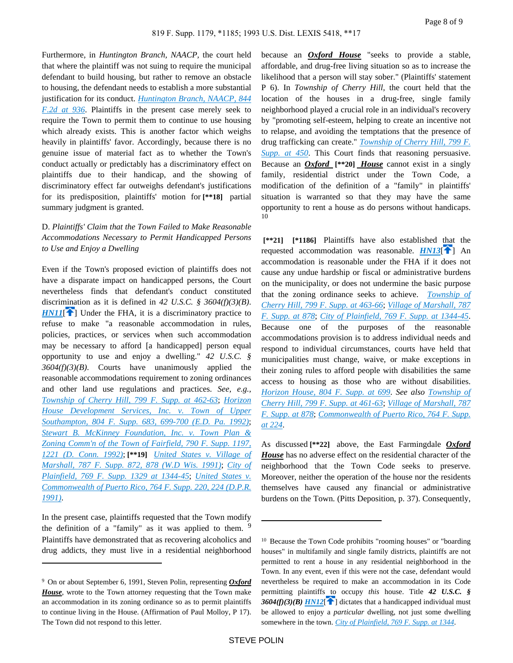Furthermore, in *Huntington Branch, NAACP,* the court held that where the plaintiff was not suing to require the municipal defendant to build housing, but rather to remove an obstacle to housing, the defendant needs to establish a more substantial justification for its conduct. *[Huntington Branch, NAACP, 844](https://advance.lexis.com/api/document?collection=cases&id=urn:contentItem:3S4X-1KC0-001B-K1HF-00000-00&context=)  [F.2d at 936](https://advance.lexis.com/api/document?collection=cases&id=urn:contentItem:3S4X-1KC0-001B-K1HF-00000-00&context=)*. Plaintiffs in the present case merely seek to require the Town to permit them to continue to use housing which already exists. This is another factor which weighs heavily in plaintiffs' favor. Accordingly, because there is no genuine issue of material fact as to whether the Town's conduct actually or predictably has a discriminatory effect on plaintiffs due to their handicap, and the showing of discriminatory effect far outweighs defendant's justifications for its predisposition, plaintiffs' motion for **[\*\*18]** partial summary judgment is granted.

## D. *Plaintiffs' Claim that the Town Failed to Make Reasonable Accommodations Necessary to Permit Handicapped Persons to Use and Enjoy a Dwelling*

<span id="page-7-0"></span>Even if the Town's proposed eviction of plaintiffs does not have a disparate impact on handicapped persons, the Court nevertheless finds that defendant's conduct constituted discrimination as it is defined in *42 U.S.C. § 3604(f)(3)(B)*. *[HN11](https://advance.lexis.com/api/document?collection=cases&id=urn:contentItem:3S4N-SJ40-001T-6260-00000-00&context=&link=clscc11)*<sup>2</sup>] Under the FHA, it is a discriminatory practice to refuse to make "a reasonable accommodation in rules, policies, practices, or services when such accommodation may be necessary to afford [a handicapped] person equal opportunity to use and enjoy a dwelling." *42 U.S.C. § 3604(f)(3)(B)*. Courts have unanimously applied the reasonable accommodations requirement to zoning ordinances and other land use regulations and practices. *See, e.g., [Township of Cherry Hill, 799 F. Supp. at 462-63](https://advance.lexis.com/api/document?collection=cases&id=urn:contentItem:3S4N-GPD0-008H-F367-00000-00&context=)*; *[Horizon](https://advance.lexis.com/api/document?collection=cases&id=urn:contentItem:3S4N-GXX0-008H-F43R-00000-00&context=)  [House Development Services, Inc. v. Town of Upper](https://advance.lexis.com/api/document?collection=cases&id=urn:contentItem:3S4N-GXX0-008H-F43R-00000-00&context=)  [Southampton, 804 F. Supp. 683, 699-700 \(E.D. Pa. 1992\)](https://advance.lexis.com/api/document?collection=cases&id=urn:contentItem:3S4N-GXX0-008H-F43R-00000-00&context=)*; *[Stewart B. McKinney Foundation, Inc. v. Town Plan &](https://advance.lexis.com/api/document?collection=cases&id=urn:contentItem:3S4N-MMX0-008H-F51N-00000-00&context=)  [Zoning Comm'n of the Town of Fairfield, 790 F. Supp. 1197,](https://advance.lexis.com/api/document?collection=cases&id=urn:contentItem:3S4N-MMX0-008H-F51N-00000-00&context=)  [1221 \(D. Conn. 1992\)](https://advance.lexis.com/api/document?collection=cases&id=urn:contentItem:3S4N-MMX0-008H-F51N-00000-00&context=)*; **[\*\*19]** *[United States v. Village of](https://advance.lexis.com/api/document?collection=cases&id=urn:contentItem:3S4N-DJH0-001T-729Y-00000-00&context=)  [Marshall, 787 F. Supp. 872, 878 \(W.D Wis. 1991\)](https://advance.lexis.com/api/document?collection=cases&id=urn:contentItem:3S4N-DJH0-001T-729Y-00000-00&context=)*; *[City of](https://advance.lexis.com/api/document?collection=cases&id=urn:contentItem:3S4N-BV70-001T-7071-00000-00&context=)  [Plainfield, 769 F. Supp. 1329 at 1344-45](https://advance.lexis.com/api/document?collection=cases&id=urn:contentItem:3S4N-BV70-001T-7071-00000-00&context=)*; *[United States v.](https://advance.lexis.com/api/document?collection=cases&id=urn:contentItem:3S4N-D7W0-001T-714H-00000-00&context=)  [Commonwealth of Puerto Rico, 764 F. Supp. 220, 224 \(D.P.R.](https://advance.lexis.com/api/document?collection=cases&id=urn:contentItem:3S4N-D7W0-001T-714H-00000-00&context=)  [1991\)](https://advance.lexis.com/api/document?collection=cases&id=urn:contentItem:3S4N-D7W0-001T-714H-00000-00&context=)*.

In the present case, plaintiffs requested that the Town modify the definition of a "family" as it was applied to them.  $9$ Plaintiffs have demonstrated that as recovering alcoholics and drug addicts, they must live in a residential neighborhood because an *Oxford House* "seeks to provide a stable, affordable, and drug-free living situation so as to increase the likelihood that a person will stay sober." (Plaintiffs' statement P 6). In *Township of Cherry Hill,* the court held that the location of the houses in a drug-free, single family neighborhood played a crucial role in an individual's recovery by "promoting self-esteem, helping to create an incentive not to relapse, and avoiding the temptations that the presence of drug trafficking can create." *[Township of Cherry Hill, 799 F.](https://advance.lexis.com/api/document?collection=cases&id=urn:contentItem:3S4N-GPD0-008H-F367-00000-00&context=)  [Supp. at 450](https://advance.lexis.com/api/document?collection=cases&id=urn:contentItem:3S4N-GPD0-008H-F367-00000-00&context=)*. This Court finds that reasoning persuasive. Because an *Oxford* **[\*\*20]** *House* cannot exist in a singly family, residential district under the Town Code, a modification of the definition of a "family" in plaintiffs' situation is warranted so that they may have the same opportunity to rent a house as do persons without handicaps. 10

<span id="page-7-2"></span> **[\*\*21] [\*1186]** Plaintiffs have also established that the requested accommodation was reasonable.  $HNI3$ [\[](#page-3-0) $\uparrow$ ] An accommodation is reasonable under the FHA if it does not cause any undue hardship or fiscal or administrative burdens on the municipality, or does not undermine the basic purpose that the zoning ordinance seeks to achieve. *[Township of](https://advance.lexis.com/api/document?collection=cases&id=urn:contentItem:3S4N-GPD0-008H-F367-00000-00&context=)  [Cherry Hill, 799 F. Supp. at 463-66](https://advance.lexis.com/api/document?collection=cases&id=urn:contentItem:3S4N-GPD0-008H-F367-00000-00&context=)*; *[Village of Marshall, 787](https://advance.lexis.com/api/document?collection=cases&id=urn:contentItem:3S4N-DJH0-001T-729Y-00000-00&context=)  [F. Supp. at 878](https://advance.lexis.com/api/document?collection=cases&id=urn:contentItem:3S4N-DJH0-001T-729Y-00000-00&context=)*; *[City of Plainfield, 769 F. Supp. at 1344-45](https://advance.lexis.com/api/document?collection=cases&id=urn:contentItem:3S4N-BV70-001T-7071-00000-00&context=)*. Because one of the purposes of the reasonable accommodations provision is to address individual needs and respond to individual circumstances, courts have held that municipalities must change, waive, or make exceptions in their zoning rules to afford people with disabilities the same access to housing as those who are without disabilities. *[Horizon House, 804 F. Supp. at 699](https://advance.lexis.com/api/document?collection=cases&id=urn:contentItem:3S4N-GXX0-008H-F43R-00000-00&context=)*. *See also [Township of](https://advance.lexis.com/api/document?collection=cases&id=urn:contentItem:3S4N-GPD0-008H-F367-00000-00&context=)  [Cherry Hill, 799 F. Supp. at 461-63](https://advance.lexis.com/api/document?collection=cases&id=urn:contentItem:3S4N-GPD0-008H-F367-00000-00&context=)*; *[Village of Marshall, 787](https://advance.lexis.com/api/document?collection=cases&id=urn:contentItem:3S4N-DJH0-001T-729Y-00000-00&context=)  [F. Supp. at 878](https://advance.lexis.com/api/document?collection=cases&id=urn:contentItem:3S4N-DJH0-001T-729Y-00000-00&context=)*; *[Commonwealth of Puerto Rico, 764 F. Supp.](https://advance.lexis.com/api/document?collection=cases&id=urn:contentItem:3S4N-D7W0-001T-714H-00000-00&context=)  [at 224](https://advance.lexis.com/api/document?collection=cases&id=urn:contentItem:3S4N-D7W0-001T-714H-00000-00&context=)*.

As discussed **[\*\*22]** above, the East Farmingdale *Oxford House* has no adverse effect on the residential character of the neighborhood that the Town Code seeks to preserve. Moreover, neither the operation of the house nor the residents themselves have caused any financial or administrative burdens on the Town. (Pitts Deposition, p. 37). Consequently,

<sup>9</sup>On or about September 6, 1991, Steven Polin, representing *Oxford House*, wrote to the Town attorney requesting that the Town make an accommodation in its zoning ordinance so as to permit plaintiffs to continue living in the House. (Affirmation of Paul Molloy, P 17). The Town did not respond to this letter.

<span id="page-7-1"></span><sup>&</sup>lt;sup>10</sup> Because the Town Code prohibits "rooming houses" or "boarding houses" in multifamily and single family districts, plaintiffs are not permitted to rent a house in any residential neighborhood in the Town. In any event, even if this were not the case, defendant would nevertheless be required to make an accommodation in its Code permitting plaintiffs to occupy *this* house. Title *42 U.S.C. §*  3604(f)(3)(B)  $\overline{H N12}$ [\[](#page-3-1)<sup>1</sup>] dictates that a handicapped individual must be allowed to enjoy a *particular* dwelling, not just some dwelling somewhere in the town. *[City of Plainfield, 769 F. Supp. at 1344](https://advance.lexis.com/api/document?collection=cases&id=urn:contentItem:3S4N-BV70-001T-7071-00000-00&context=)*.